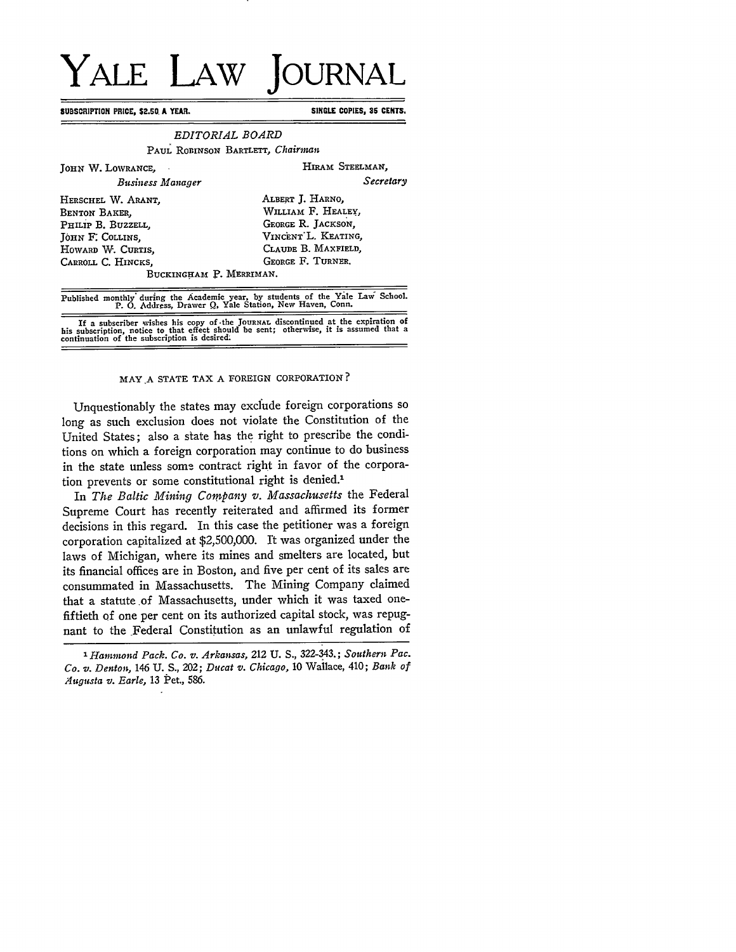# YALE LAW **JOURNAL**

**SUBSCRIPTION PRICE, \$2.50. A YEAR. SINGLE COPIES, 35 CENTS.**

*EDITORIAL BOARD* **PAUL** ROBINSON BARTLETT, *Chairman*

| JOHN W. LOWRANCE,       | HIRAM STEELMAN,                                                                                                                         |
|-------------------------|-----------------------------------------------------------------------------------------------------------------------------------------|
| <b>Business Manager</b> | Secretary                                                                                                                               |
| HERSCHEL W. ARANT,      | ALBERT J. HARNO,                                                                                                                        |
| BENTON BAKER,           | WILLIAM F. HEALEY,                                                                                                                      |
| PHILIP B. BUZZELL.      | GEORGE R. JACKSON.                                                                                                                      |
| JOHN F. COLLINS.        | VINCENT L. KEATING,                                                                                                                     |
| HOWARD W. CURTIS.       | CLAUDE B. MAXFIELD.                                                                                                                     |
| CARROLL C. HINCKS.      | GEORGE F. TURNER.                                                                                                                       |
| BUCKINGHAM P. MERRIMAN. |                                                                                                                                         |
|                         | Published monthly during the Academic year, by students of the Yale Law School. P. O. Address, Drawer Q, Yale Station, New Haven, Conn. |

If a subscriber wishes his copy of the JOURNAL discontinued at the expiration of his subscription, notice to that effect should be sent; otherwise, it is assumed that a continuation of the subscription is desired.

#### MAY A STATE TAX A FOREIGN CORPORATION?

Unquestionably the states may exclude foreign corporations so long as such exclusion does not violate the Constitution of the United States; also a state has the right to prescribe the conditions on which a foreign corporation may continue to do business in the state unless some contract right in favor of the corporation prevents or some constitutional right is denied.<sup>1</sup>

In *The Baltic Mining CoMpany v. Massachusetts* the Federal Supreme Court has recently reiterated and affirmed its former decisions in this regard. In this case the petitioner was a foreign corporation capitalized at \$2,500,000. It was organized under the laws of Michigan, where its mines and smelters are located, but its financial offices are in Boston, and five per cent of its sales are consummated in Massachusetts. The Mining Company claimed that a statute of Massachusetts, under which it was taxed onefiftieth of one per cent on its authorized capital stock, was repugnant to the Federal Constitution as an unlawful regulation of

**<sup>1</sup>***Hammont d Pack. Co. v. Arkansas,* 212 **U. S.,** 322-343.; *Southern Pac. Co. v. Denton,* 146 U. S., 202; *Ducat v. Chicago,* 10 Wallace, 410; *Bank of Augusta v. Earle,* **13** Pet., 586.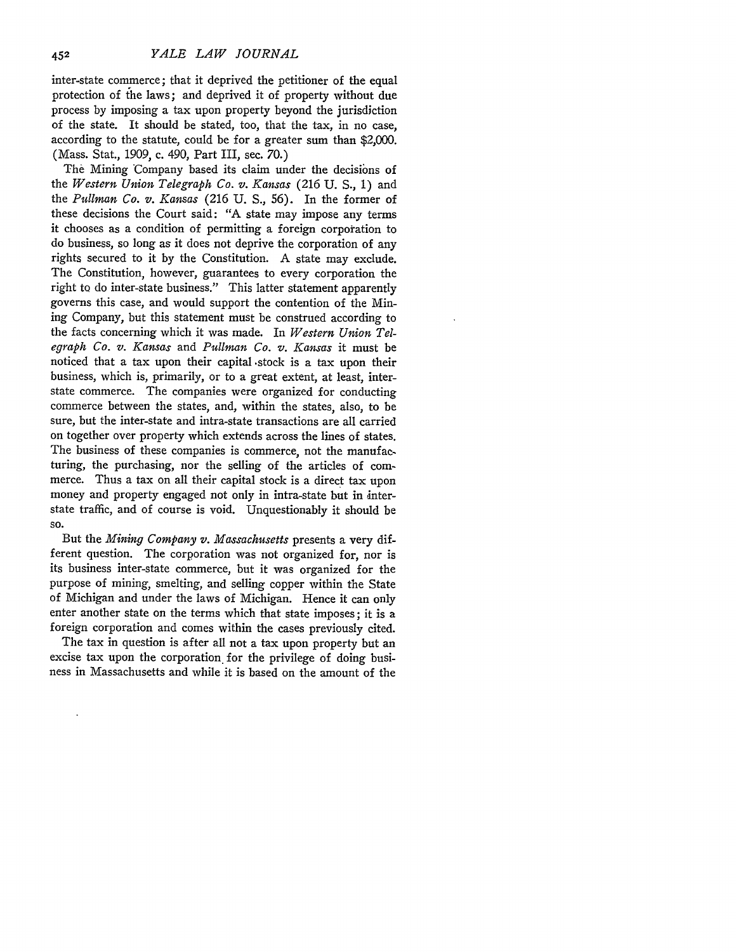inter-state commerce; that it deprived the petitioner of the equal protection of the laws; and deprived it of property without due process by imposing a tax upon property beyond the jurisdiction of the state. It should be stated, too, that the tax, in no case, according to the statute, could be for a greater sum than \$2,000. (Mass. Stat., 1909, c. 490, Part III, sec. 70.)

**The** Mining 'Company based its claim under the decisions of the *Western Union Telegraph Co. v. Kansas* (216 U. S., 1) and the *Pullman Co. v. Kansas* (216 **U.** S., 56). In the former of these decisions the Court said: "A state may impose any terms it chooses as a condition of permitting a foreign corporation to do business, so long as it does not deprive the corporation of any rights secured to it by the Constitution. A state may exclude. The Constitution, however, guarantees to every corporation the right to do inter-state business." This latter statement apparently governs this case, and would support the contention of the Mining Company, but this statement must be construed according to the facts concerning which it was made. In *Western Union Telegraph Co. v. Kansas* and *Pullman Co. v. Kansas* it must be noticed that a tax upon their capital .stock is a tax upon their business, which is, primarily, or to a great extent, at least, interstate commerce. The companies were organized for conducting commerce between the states, and, within the states, also, to be sure, but the inter-state and intra-state transactions are all carried on together over property which extends across the lines of states. The business of these companies is commerce, not the manufacturing, the purchasing, nor the selling of the articles of commerce. Thus a tax on all their capital stock is a direct tax upon money and property engaged not only in intra-state but in interstate traffic, and of course is void. Unquestionably it should be SO.

But the *Mining Company v. Massachusetts* presents a very different question. The corporation was not organized for, nor is its business inter-state commerce, but it was organized for the purpose of mining, smelting, and selling copper within the State of Michigan and under the laws of Michigan. Hence it can only enter another state on the terms which that state imposes; it is a foreign corporation and comes within the cases previously cited.

The tax in question is after all not a tax upon property but an excise tax upon the corporation. for the privilege of doing business in Massachusetts and while it is based on the amount of the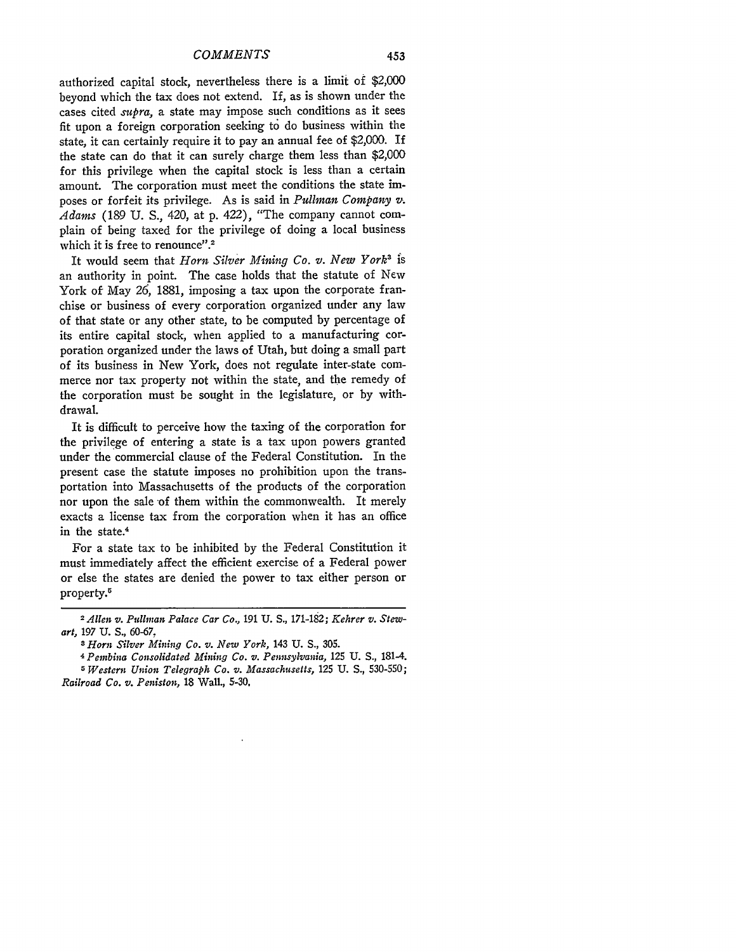*COMMENTS*

authorized capital stock, nevertheless there is a limit of \$2,000 beyond which the tax does not extend. If, as is shown under the cases cited *supra,* a state may impose such conditions as it sees fit upon a foreign corporation seeking to do business within the state, it can certainly require it to pay an annual fee of \$2,000. If the state can do that it can surely charge them less than \$2,000 for this privilege when the capital stock is less than a certain amount. The corporation must meet the conditions the state imposes or forfeit its privilege. As is said in *Pullman Company v. Adams* (189 U. S., 420, at p. 422), "The company cannot complain of being taxed for the privilege of doing a local business which it is free to renounce".<sup>2</sup>

It would seem that *Horn Silver Mining Co. v. New York <sup>3</sup>***is** an authority in point. The case holds that the statute of New York of May 26, 1881, imposing a tax upon the corporate franchise or business of every corporation organized under any law of that state or any other state, to be computed by percentage of its entire capital stock, when applied to a manufacturing corporation organized under the laws of Utah, but doing a small part of its business in New York, does not regulate inter-state commerce nor tax property not within the state, and the remedy of the corporation must be sought in the legislature, or by withdrawal.

It is difficult to perceive how the taxing of the corporation for the privilege of entering a state is a tax upon powers granted under the commercial clause of the Federal Constitution. In the present case the statute imposes no prohibition upon the transportation into Massachusetts of the products of the corporation nor upon the sale of them within the commonwealth. It merely exacts a license tax from the corporation when it has an office in the state.<sup>4</sup>

For a state tax to be inhibited by the Federal Constitution it must immediately affect the efficient exercise of a Federal power or else the states are denied the power to tax either person or property.<sup>5</sup>

*<sup>2</sup> Allen v. Pullman Palace Car Co.,* 191 U. S., 171-182; *Kehrer v. Stewart,* 197 U. S., 60-67.

*<sup>3</sup> Horn Silver Mining Co. v. New York,* 143 U. S., 305.

*<sup>4</sup> Pembina Consolidated Mining Co. v. Pennsylvania,* **125 U.** S., 181-4. *5 Western Union Telegraph Co. v. Massachusetts,* **125** U. S., 530-550; *Railroad Co. v. Peniston,* 18 Wall., 5-30.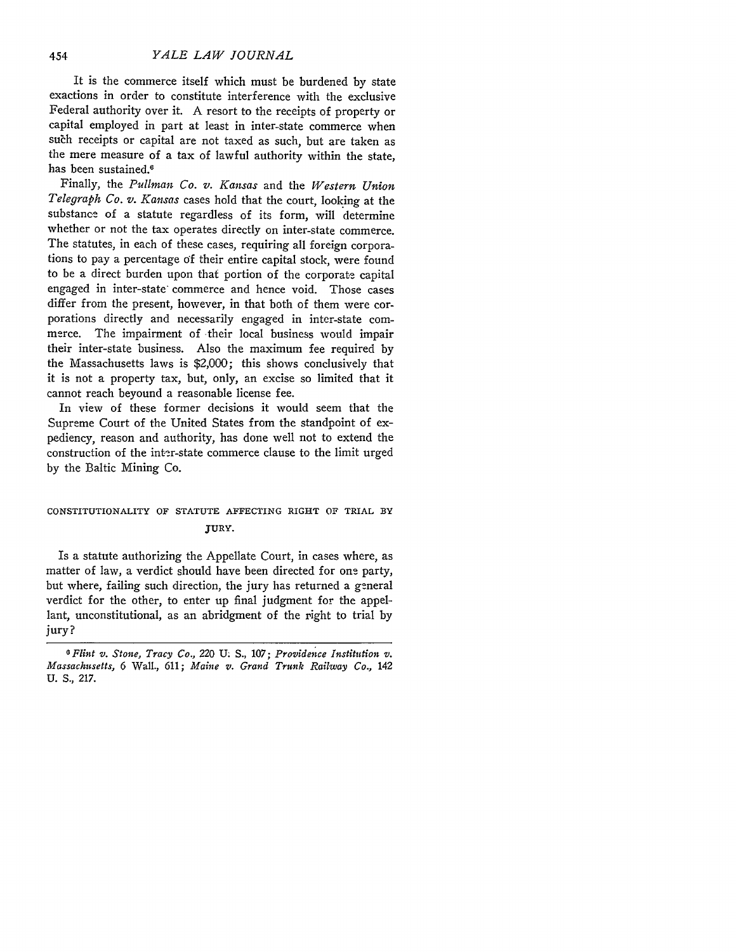It is the commerce itself which must be burdened by state exactions in order to constitute interference with the exclusive Federal authority over it. A resort to the receipts of property or capital employed in part at least in inter-state commerce when such receipts or capital are not taxed as such, but are taken as the mere measure of a tax of lawful authority within the state, has been sustained.<sup>6</sup>

Finally, the *Pullman Co. v. Kansas* and the *Western Union Telegraph Co. v. Kansas* cases hold that the court, looking at the substance of a statute regardless of its form, will determine whether or not the tax operates directly on inter-state commerce. The statutes, in each of these cases, requiring all foreign corporations to pay a percentage of their entire capital stock, were found to be a direct burden upon that portion of the corporate capital engaged in inter-state' commerce and hence void. Those cases differ from the present, however, in that both of them were corporations directly and necessarily engaged in inter-state commerce. The impairment of their local business would impair their inter-state business. Also the maximum fee required by the Massachusetts laws is \$2,000; this shows conclusively that it is not a property tax, but, only, an excise so limited that it cannot reach beyound a reasonable license fee.

In view of these former decisions it would seem that the Supreme Court of the United States from the standpoint of expediency, reason and authority, has done well not to extend the construction of the inter-state commerce clause to the limit urged by the Baltic Mining Co.

## CONSTITUTIONALITY OF **STATUTE AFFECTING** RIGHT OF TRIAL BY **JURY.**

Is a statute authorizing the Appellate Court, in cases where, as matter of law, a verdict should have been directed for one party, but where, failing such direction, the jury has returned a general verdict for the other, to enter up final judgment for the appellant, unconstitutional, as an abridgment of the right to trial by jury?

**<sup>8</sup>***Flint v. Stone, Tracy Co.,* 220 U. **S.,** 107; *Providence Institution v. Massachusetts,* 6 Wall., 611; *Maine v. Grand Trunk Railway Co., 142* U. **S.,** 217.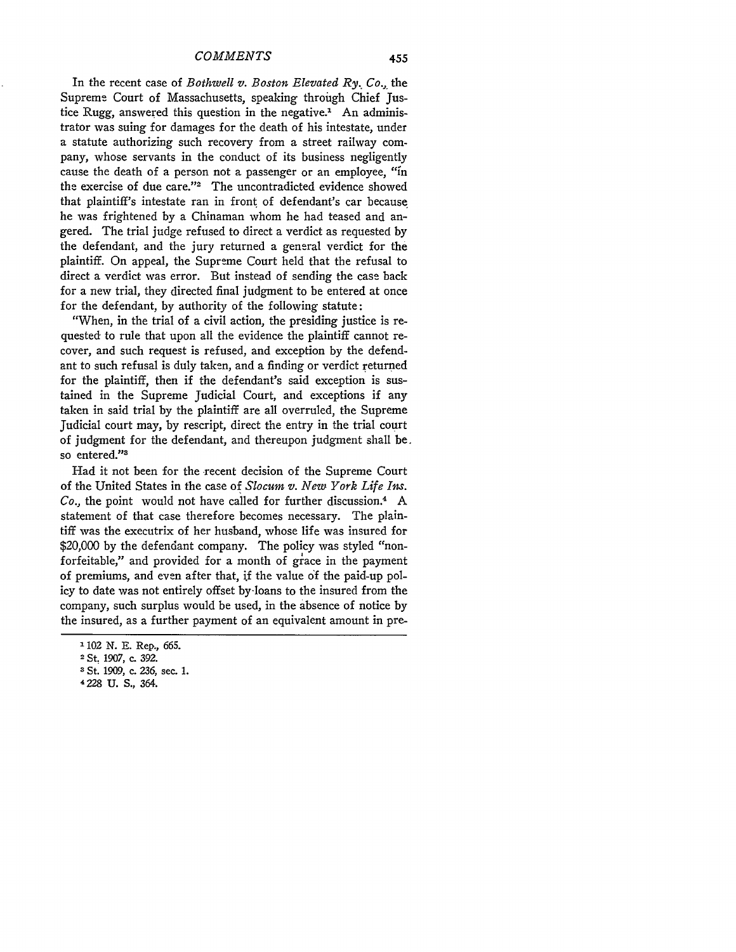In the recent case of *Bothwell v. Boston Elevated Ry.. Co.,* the Supreme Court of Massachusetts, speaking through Chief Justice Rugg, answered this question in the negative." An administrator was suing for damages for the death of his intestate, under a statute authorizing such recovery from a street railway company, whose servants in the conduct of its business negligently cause the death of a person not a passenger or an employee, "in the exercise of due care."<sup>2</sup> The uncontradicted evidence showed that plaintiff's intestate ran in front of defendant's car because he was frightened by a Chinaman whom he had teased and angered. The trial judge refused to direct a verdict as requested by the defendant, and the jury returned a general verdict for the plaintiff. On appeal, the Supreme Court held that the refusal to direct a verdict was error. But instead of sending the case back for a new trial, they directed final judgment to be entered at once for the defendant, by authority of the following statute:

"When, in the trial of a civil action, the presiding justice is requested to rule that upon all the evidence the plaintiff cannot recover, and such request is refused, and exception by the defendant to such refusal is duly taken, and a finding or verdict returned for the plaintiff, then if the defendant's said exception is sustained in the Supreme Judicial Court, and exceptions if any taken in said trial by the plaintiff are all overruled, the Supreme Judicial court may, by rescript, direct the entry in the trial court of judgment for the defendant, and thereupon judgment shall be. so entered."<sup>3</sup>

Had it not been for the recent decision of the Supreme Court of the United States in the case of *Slocum v. New York Life Ins. Co.,* the point would not have called for further discussion.4 A statement of that case therefore becomes necessary. The plaintiff was the executrix of her husband, whose life was insured for \$20,000 by the defendant company. The policy was styled "nonforfeitable," and provided for a month of grace in the payment of premiums, and even after that, **if** the value of the paid-up policy to date was not entirely offset by-loans to the insured from the company, such surplus would be used, in the absence of notice by the insured, as a further payment of an equivalent amount in pre-

4 228 **U. S.,** 364.

**<sup>1</sup>**102 N. E. Rep., 665. 2 St. 1907, c. **392.**

**<sup>3</sup>** St. 1909, c. 236, sec. 1.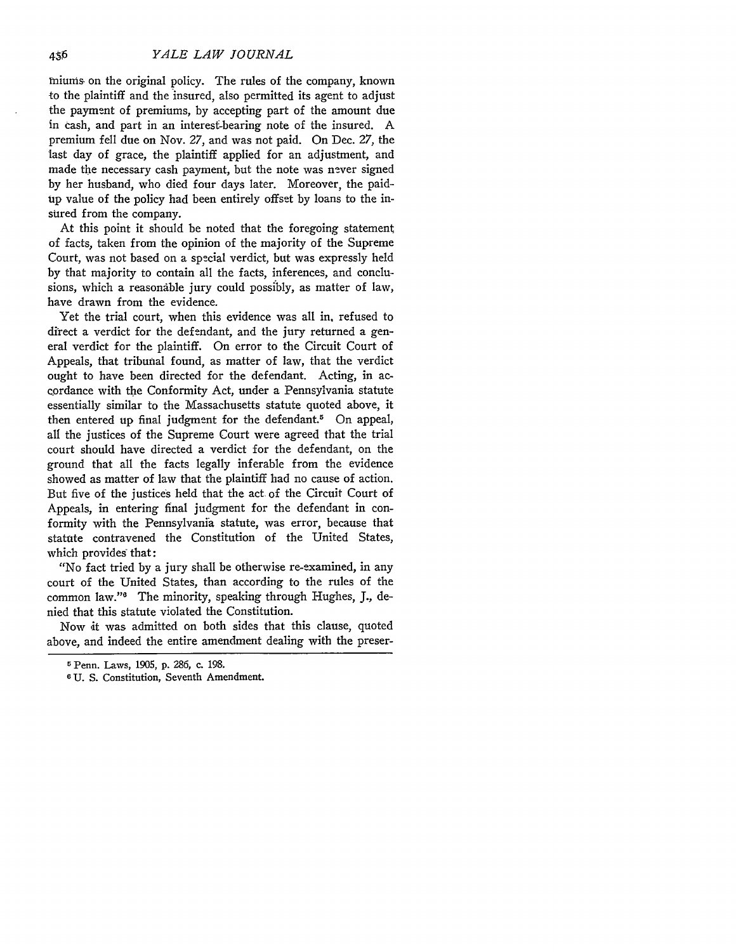rniums on the original policy. The rules of the company, known to the plaintiff and the insured, also permitted its agent to adjust the payment of premiums, by accepting part of the amount due in cash, and part in an interesf-bearing note of the insured. **A** premium fell due on Nov. 27, and was not paid. On Dec. **27,** the last day of grace, the plaintiff applied for an adjustment, and made the necessary cash payment, but the note was never signed by her husband, who died four days later. Moreover, the paid*up* value of the policy had been entirely offset by loans to the insured from the company.

At this point it should be noted that the foregoing statement of facts, taken from the opinion of the majority of the Supreme Court, was not based on a special verdict, but was expressly held by that majority to contain all the facts, inferences, and conclusions, which a reasonable jury could possibly, as matter of law, have drawn from the evidence.

Yet the trial court, when this evidence was all in, refused to direct a verdict for the defendant, and the jury returned a general verdict for the plaintiff. On error to the Circuit Court of Appeals, that tribunal found, as matter of law, that the verdict ought to have been directed for the defendant. Acting, in accordance with the Conformity Act, under a Pennsylvania statute essentially similar to the Massachusetts statute quoted above, it then entered up final judgment for the defendant.<sup>5</sup> On appeal, all the justices of the Supreme Court were agreed that the trial court should have directed a verdict for the defendant, on the ground that all the facts legally inferable from the evidence showed as matter of law that the plaintiff had no cause of action. But five of the justices held that the act of the Circuit Court of Appeals, in entering final judgment for the defendant in conformity with the Pennsylvania statute, was error, because that statute contravened the Constitution of the United States, which provides that:

"No fact tried by a jury shall be otherwise re-examined, in any court of the United States, than according to the rules of the common law."8 The minority, speaking through Hughes, J., denied that this statute violated the Constitution.

Now it was admitted on both sides that this clause, quoted above, and indeed the entire amendment dealing with the preser-

<sup>5</sup> Penn. Laws, 1905, **p.** 286, c. 198.

**<sup>6</sup>** U. S. Constitution, Seventh Amendment.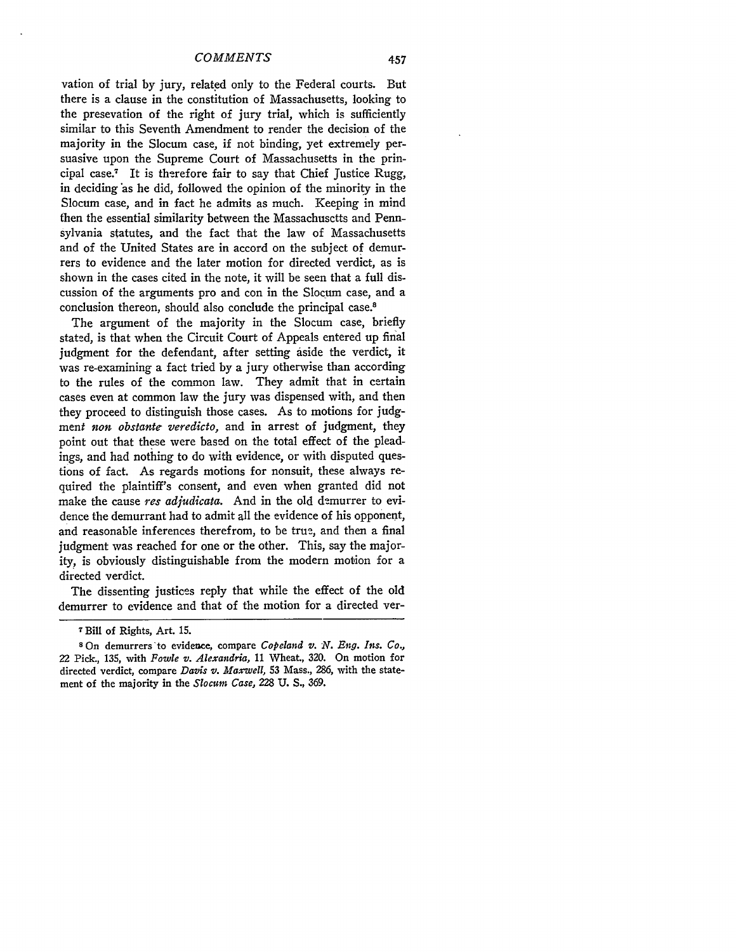vation of trial by jury, related only to the Federal courts. But there is a clause in the constitution of Massachusetts, looking to the presevation of the right of jury trial, which is sufficiently similar to this Seventh Amendment to render the decision of the majority in the Slocum case, if not binding, yet extremely persuasive upon the Supreme Court of Massachusetts in the principal case.7 It is therefore fair to say that Chief Justice Rugg, in deciding as he did, followed the opinion of the minority in the Slocum case, and in fact he admits as much. Keeping in mind then the essential similarity between the Massachusctts and Pennsylvania statutes, and the fact that the law of Massachusetts and of the United States are in accord on the subject of demurrers to evidence and the later motion for directed verdict, as is shown in the cases cited in the note, it will be seen that a full discussion of the arguments pro and con in the Slocum case, and a conclusion thereon, should also conclude the principal case.<sup>8</sup>

The argument of the majority in the Slocum case, briefly stated, is that when the Circuit Court of Appeals entered up final judgment for the defendant, after setting aside the verdict, it was re-examining a fact tried by a jury otherwise than according to the rules of the common law. They admit that in certain cases even at common law the jury was dispensed with, and then they proceed to distinguish those cases. As to motions for judgment *non obstante veredicto,* and in arrest of judgment, they point out that these were based on the total effect of the pleadings, and had nothing to do with evidence, or with disputed questions of fact. As regards motions for nonsuit, these always required the plaintiff's consent, and even when granted did not make the cause *res adjudicata.* And in the old demurrer to evidence the demurrant had to admit all the evidence of his opponent, and reasonable inferences therefrom, to be true, and then a final judgment was reached for one or the other. This, say the majority, is obviously distinguishable from the modern motion for a directed verdict.

The dissenting justices reply that while the effect of the old demurrer to evidence and that of the motion for a directed ver-

**<sup>7</sup>** Bill of Rights, Art. 15.

<sup>8</sup> On demurrers to evidence, compare *Copeland v. N. Eng. Ins. Co.*, 22 Pick., 135, with *Fowle v. Alexandria,* 11 Wheat., 320. On motion for directed verdict, compare *Davis v. Maxwell,* 53 Mass., 286, with the statement of the majority in the *Slocum Case,* 228 U. S., 369.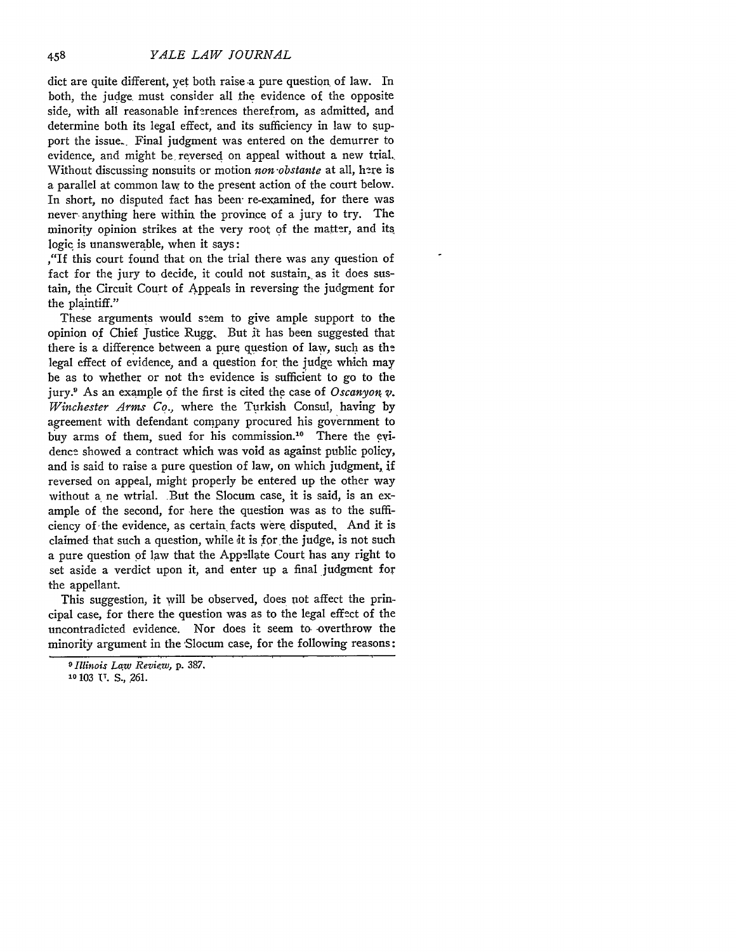dict are quite different, yet both raise a pure question, of law. In both, the judge must consider all the evidence of the opposite side, with all reasonable inferences therefrom, as admitted, and determine both its legal effect, and its sufficiency in law to support the issue,. Final judgment was entered on the demurrer to evidence, and might be reversed on appeal without a new trial. Without discussing nonsuits or motion *non-obstante* at all, here is a parallel at common law to the present action of the court below. In short, no disputed fact has been re-examined, for there was never anything here within the province of a jury to try. The minority opinion strikes at the very root **of** the matter, and its logic is unanswerable, when it says:

*,"If* this court found that on the trial there was any question of fact for the jury to decide, it could not sustain, as it does sustain, the Circuit Court of Appeals in reversing the judgment for the plaintiff."

These arguments would seem to give ample support to the opinion of Chief Justice Rugg. But it has been suggested that there is a difference between a pure question of law, such as the legal effect of evidence, and a question for the judge which may be as to whether or not the evidence is sufficient to go to the jury.<sup>9</sup> As an example of the first is cited the case of *Oscanyon v*. *Winchester Arms Co.,* where the Turkish Consul, having by agreement with defendant company procured his government to buy arms of them, sued for his commission.<sup>10</sup> There the evidence showed a contract which was void as against public policy, and is said to raise a pure question of law, on which judgment, if reversed on appeal, might properly be entered up the other way without a ne wtrial. But the Slocum case, it is said, is an example of the second, for here the question was as to the sufficiency of -the evidence, as certain, facts were disputed. And it is claimed that such a question, while it is for the judge, is not such a pure question **of** law that the Appellate Court has any right to set aside a verdict upon it, and enter up a final judgment for the appellant.

This suggestion, it will be observed, does not affect the principal case, for there the question was as to the legal effect of the uncontradicted evidence. Nor does it seem to overthrow the minority argument in the 'Slocum case, for the following reasons:

*<sup>9</sup> Illinois Law Review,* p. 387.

**<sup>10 103</sup> I T . S., .261.**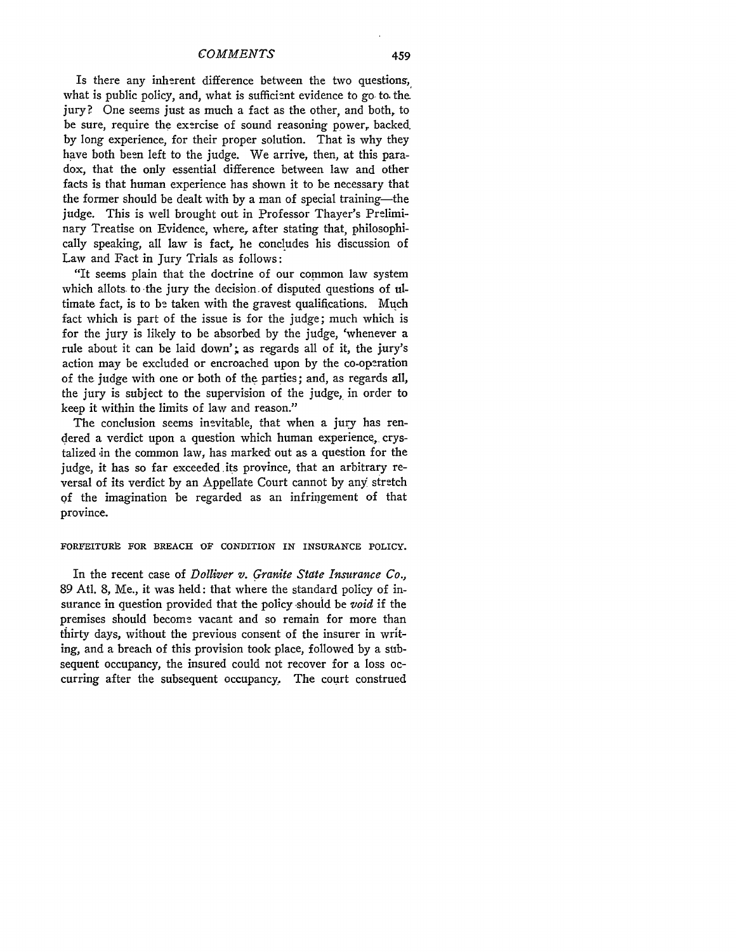Is there any inherent difference between the two questions, what is public policy, and, what is sufficient evidence to go to. the jury? One seems just as much a fact as the other, and both, to be sure, require the exercise of sound reasoning power, backed. by long experience, for their proper solution. That is why they have both been left to the judge. We arrive, then, at this paradox, that the only essential difference between law and other facts is that human experience has shown it to be necessary that the former should be dealt with by a man of special training-the judge. This is well brought out in Professor Thayer's Preliminary Treatise on Evidence, where, after stating that, philosophically speaking, all law is fact, he concludes his discussion of Law and Fact in Jury Trials as follows:

"It seems plain that the doctrine of our common law system which allots to the jury the decision of disputed questions of ultimate fact, is to be taken with the gravest qualifications. Much fact which is part of the issue is for the judge; much which is for the jury is likely to be absorbed by the judge, 'whenever a rule about it can be laid down'; as regards all of it, the jury's action may be excluded or encroached upon by the co-operation of the judge with one or both of the parties; and, as regards all, the jury is subject to the supervision of the judge, in order to keep it within the limits of law and reason."

The conclusion seems inevitable, that when a jury has rendered a verdict upon a question which human experience, crystalized in the common law, has marked out as a question for the judge, it has so far exceeded its province, that an arbitrary reversal of its verdict by an Appellate Court cannot by any stretch of the imagination be regarded as an infringement of that province.

#### FORFEITURE **FOR** BREACH **OF** CONDITION **IN** INSURANCE POLICY.

In the recent case of *Dolliver v. Granite State Insurance Co.,* 89 Atl. 8, Me., it was held: that where the standard policy of insurance in question provided that the policy .should be *void* if the premises should become vacant and so remain for more than thirty days, without the previous consent of the insurer in writing, and a breach of this provision took place, followed by a subsequent occupancy, the insured could not recover for a loss occurring after the subsequent occupancy. The court construed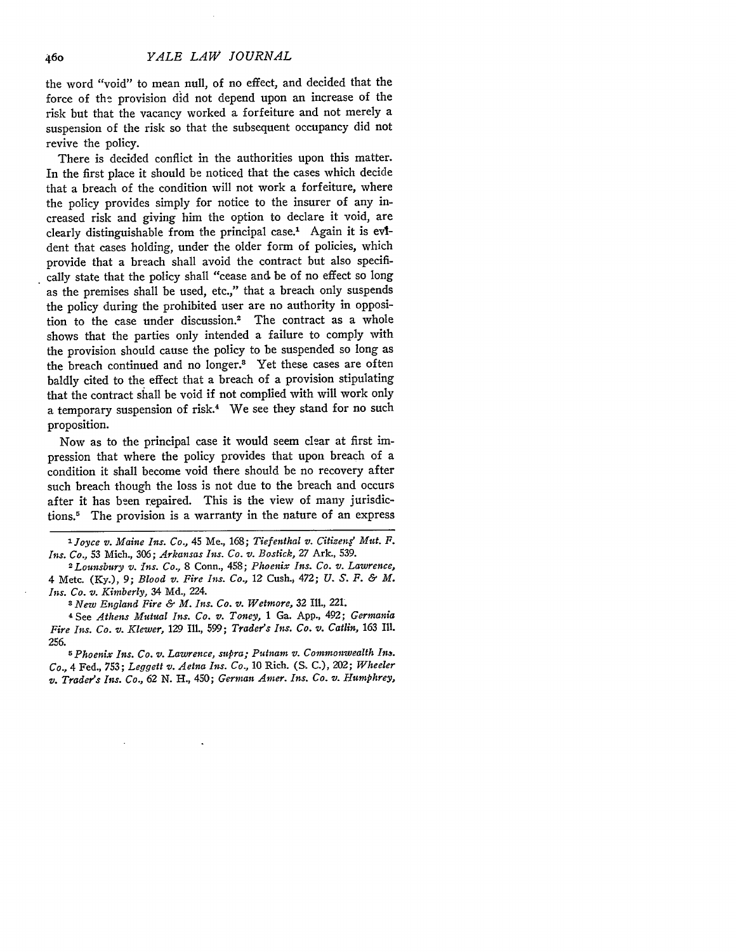the word "void" to mean null, of no effect, and decided that the force of the provision **did** not depend upon an increase of the risk but that the vacancy worked a forfeiture and not merely a suspension of the risk so that the subsequent occupancy did not revive the policy.

There is decided conflict in the authorities upon this matter. In the first place it should be noticed that the cases which decide that a breach of the condition will not work a forfeiture, where the policy provides simply for notice to the insurer of any increased risk and giving him the option to declare it void, are clearly distinguishable from the principal case.' Again it is evident that cases holding, under the older form of policies, which provide that a breach shall avoid the contract but also specifically state that the policy shall "cease and be of no effect so long as the premises shall be used, etc.," that a breach only suspends the policy during the prohibited user are no authority in opposition to the case under discussion.2 The contract as a whole shows that the parties only intended a failure to comply with the provision should cause the policy to be suspended so long as the breach continued and no longer.<sup>3</sup> Yet these cases are often baldly cited to the effect that a breach of a provision stipulating that the contract shall be void if not complied with will work only a temporary suspension of risk.<sup>4</sup> We see they stand for no such proposition.

Now as to the principal case it would seem clear at first impression that where the policy provides that upon breach of a condition it shall become void there should be no recovery after such breach though the loss is not due to the breach and occurs after it has been repaired. This is the view of many jurisdictions.5 The provision is a warranty in the nature of an express

*Iroyce v. Maine Ins. Co.,* 45 Me., 168; *Tiefenthal v. Citizene" Mit. F. Ins. Co.,* 53 Mich., 306; *Arkansas Ins. Co. v. Bostick,* 27 Ark., 539.

*<sup>2</sup> Lounsbury v. Ins. Co.,* 8 Conn., 458; *Phoenix Ins. Co. v. Lawrence,* 4 Metc. (Ky.), 9; *Blood v. Fire Ins. Co.,* 12 Cush., 472; *U. S. F. & M. Ins. Co. v. Kimberly,* 34 Md., 224.

*New England Fire & M. Ins. Co. v. Wetmore,* 32 Ill., 221.

<sup>4</sup>See *Athens Mutual Ins. Co. v. Toney,* 1 Ga. **App.,** 492; *Germania Fire Ins. Co. v. Klewer, 129* **Ill.,** *599; Trader's Ins. Co. v. Catlin,* 163 Ill. 256.

*5 Phoenix Ins. Co. v. Lawrence, supra; Putnam v. Commonwealth Ins. Co.,* 4 Fed., 753; *Leggett v. Aetna Ins. Co.,* 10 Rich. (S. C.), 202; *Wheeler v. Trader's Ins. Co.,* 62 **N.** H., 450; *German Anmer. Ins. Co. v. Humphrey,*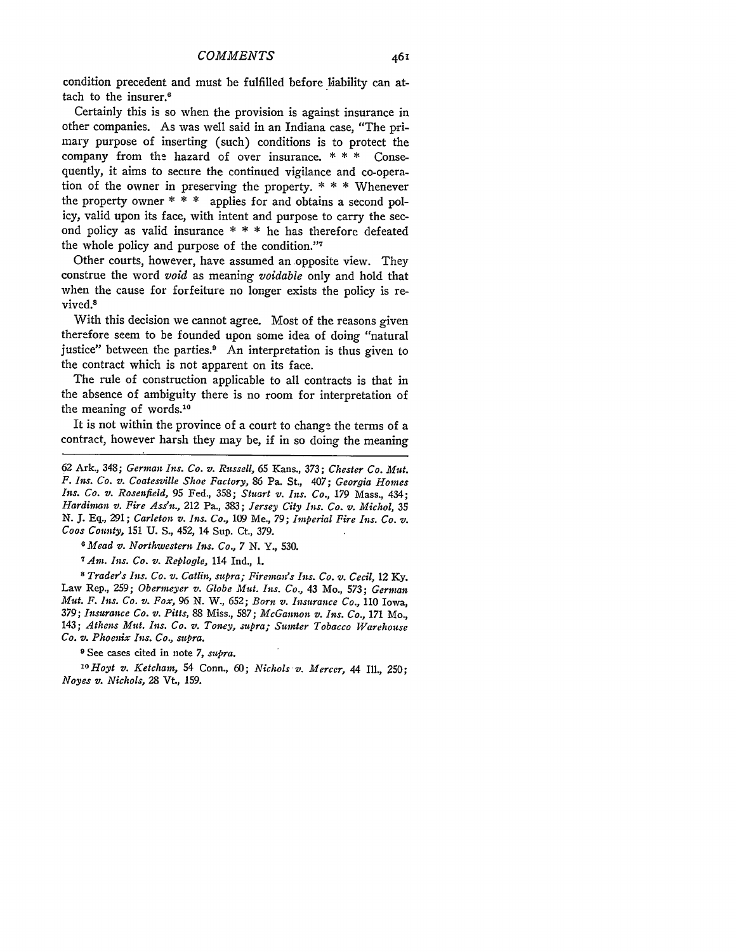condition precedent and must be fulfilled before liability can attach to the insurer.<sup>6</sup>

Certainly this is so when the provision is against insurance in other companies. As was well said in an Indiana case, "The primary purpose of inserting (such) conditions is to protect the company from the hazard of over insurance. \* \* \* Consequently, it aims to secure the continued vigilance and co-operation of the owner in preserving the property. \* \* \* Whenever the property owner  $* * *$  applies for and obtains a second policy, valid upon its face, with intent and purpose to carry the second policy as valid insurance \* \* \* he has therefore defeated the whole policy and purpose of the condition."'7

Other courts, however, have assumed an opposite view. They construe the word *void* as meaning *voidable* only and hold that when the cause for forfeiture no longer exists the policy is revived.<sup>8</sup>

With this decision we cannot agree. Most of the reasons given therefore seem to be founded upon some idea of doing "natural justice" between the parties.<sup>9</sup> An interpretation is thus given to the contract which is not apparent on its face.

The rule of construction applicable to all contracts is that in the absence of ambiguity there is no room for interpretation of the meaning of words.'<sup>0</sup>

It is not within the province of a court to change the terms of a contract, however harsh they may be, if in so doing the meaning

*<sup>0</sup>Mead v. Northwestern Ins. Co., 7 N.* Y., 530.

**<sup>7</sup>**Am. *Ins. Co. v. Replogle,* 114 Ind., 1.

**8** *Trader's Ins. Co. v. Catlin, supra; Fireman's Ins. Co. v. Cecil,* 12 Ky. Law Rep., 259; *Obermneyer v. Globe Mut. Ins. Co.,* 43 Mo., 573; *German* Mut. *F. Ins. Co. v. Fox, 96 N.* W., 652; *Born v. Insurance Co.,* 110 Iowa, *379; Insurance Co. v. Pitts,* 88 Miss., 587; *McGannon v. Ins. Co.,* 171 Mo., 143; *Athens Mut. Ins. Co. v. Toney, supra; Sunter Tobacco Warehouse Co. v. Phoenix Ins. Co., supra.*

**9** See cases cited in note 7, *supra.*

*2 <sup>0</sup> Hoyt v. Ketcham,* 54 Conn., 60; *Nichols v. Mercer,* 44 Ill., 250; *Noyes v. Nichols,* 28 Vt., 159.

<sup>62</sup> Ark., 348; German *Ins. Co. v. Russell,* 65 Kans., 373; Chester *Co.* Mut. *F. Ins. Co. v. Coatesville Shoe Factory,* 86 Pa. St., 407; *Georgia Homes Ins. Co. v. Rosenfield,* 95 Fed., 358; *Stuart v. Ins. Co.,* 179 Mass., 434; *Hardiinan v. Fire Ass'n.,* 212 Pa., 383; *Jersey City Ins. Co. v. Michol,* 35 *N.* J. Eq., 291; *Carleton v. Ins. Co., 109* Me., *79; Imperial Fire Ins. Co. v. Coos County,* 151 U. S., 452, 14 Sup. Ct., 379.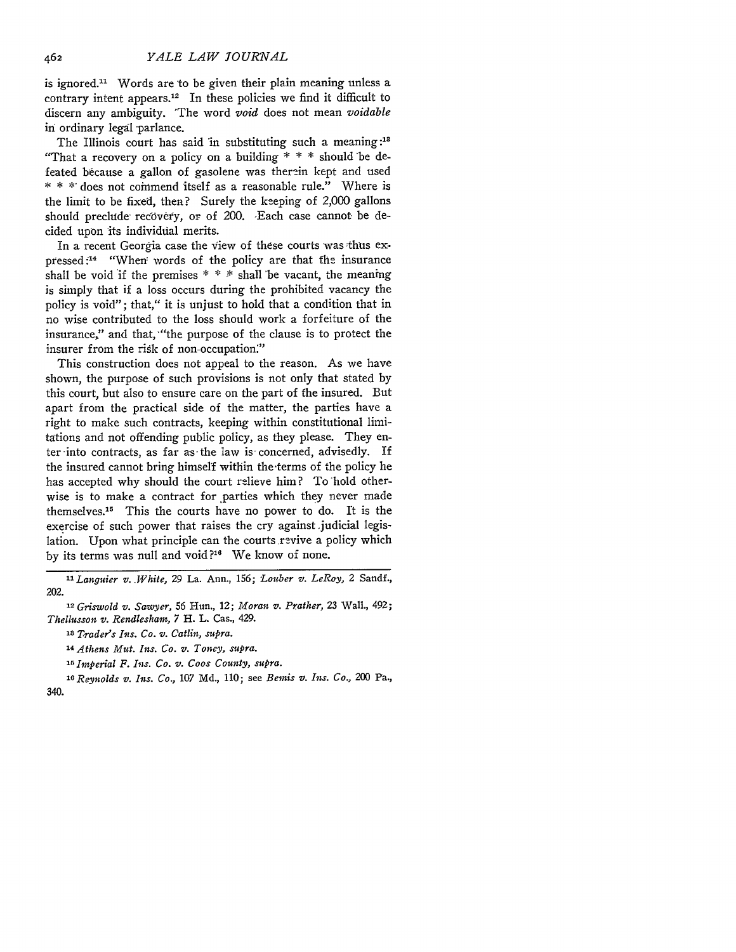is ignored.<sup>11</sup> Words are to be given their plain meaning unless a contrary intent appears.<sup>12</sup> In these policies we find it difficult to discern any ambiguity. 'The word *void* does not mean *voidable* in ordinary legal parlance.

The Illinois court has said in substituting such a meaning:<sup>18</sup> "That a recovery on a policy on a building  $* * *$  should be defeated because a gallon of gasolene was therein kept and used \* \* \* does not commend itself as a reasonable rule." Where is the limit to be fixed, then? Surely the keeping of 2,000 gallons should preclude recovery, or of 200. Each case cannot be decided upon its individual merits.

In a recent Georgia case the view of these courts was thus expressed :14 "When: words of the policy are that the insurance shall be void if the premises  $* * *$  shall be vacant, the meaning is simply that if a loss occurs during the prohibited vacancy the policy is void"; that," it is unjust to hold that a condition that in no wise contributed to the loss should work a forfeiture of the insurance," and that,"'the purpose of the clause is to protect the insurer from the risk of non-occupation:"

This construction does not appeal to the reason. As we have shown, the purpose of such provisions is not only that stated by this court, but also to ensure care on the part of the insured. But apart from the practical side of the matter, the parties have a right to make such contracts, keeping within constitutional limitations and not offending public policy, as they please. They enter-into contracts, as far as-the law is-concerned, advisedly. If the insured cannot bring himself within the terms of the policy he has accepted why should the court relieve him? To hold otherwise is to make a contract for parties which they never made themselves. $15$  This the courts have no power to do. It is the exercise of such power that raises the cry against judicial legislation. Upon what principle can the courts revive a policy which by its terms was null and void? $16$  We know of none.

*<sup>&</sup>quot;Languier v..White,* 29 La. Ann., 156; *Louber v. LeRoy,* 2 Sandf., 202.

*<sup>12</sup>Griswold v. Sawyer,* 56 Hun., 12; *Moran v. Prather,* 23 Wall., 492; *Thellusson v. Rendleshain,* 7 H. L. Cas., 429.

*is Trader's Ins. Co. v. Catlin, supra.*

*<sup>14</sup>Athens Mut. Ins. Co. v. Toney, supra.*

*<sup>15</sup>Imperial F. Ins. Co. v. Coos County, supra.*

*<sup>10</sup>Reynolds v. Ins. Co.,* 107 Md., 110; see *Bemnis v. Ins. Co.,* 200 Pa.,340.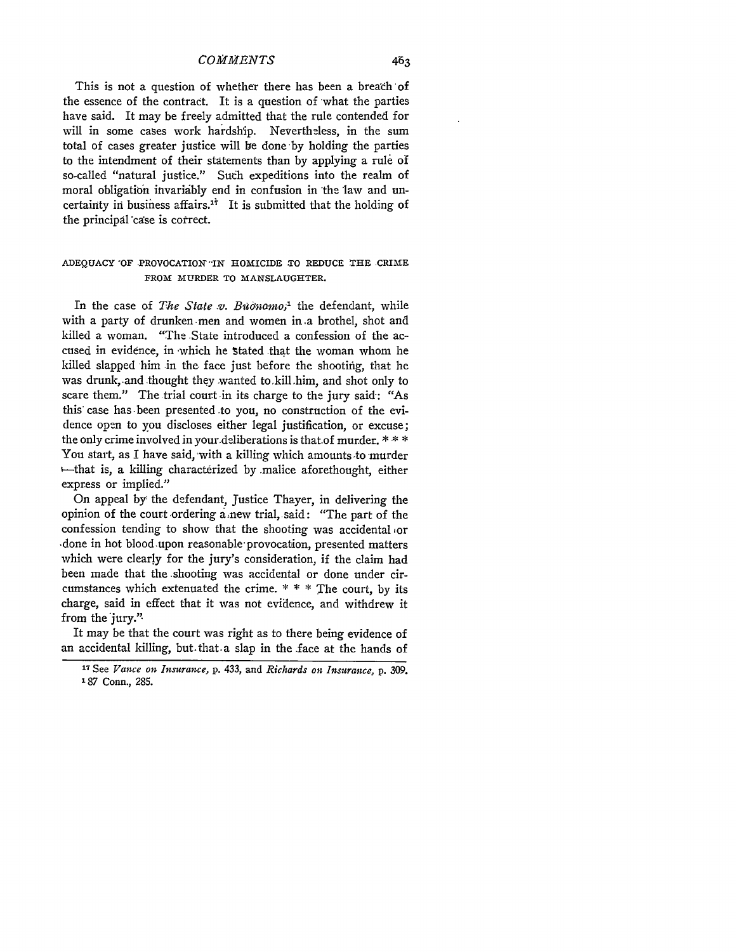*COMMENTS*

This is not a question of whether there has been a breach of the essence of the contract. It is a question of what the parties have said. It may be freely admitted that the rule contended for will in some cases work hardship. Nevertheless, in the sum total of cases greater justice will be done-by holding the parties to the intendment of their statements than by applying a rule of so-called "natural justice." Such expeditions into the realm of moral obligation invariably end in confusion in the law and uncertainty in business affairs.<sup>17</sup> It is submitted that the holding of the principal "case is correct.

### ADEQUACY OF PROVOCATION IN HOMICIDE TO REDUCE THE CRIME FROM MURDER TO **MANSLAUGHTER.**

In the case of *The State .v. Budnamo;'* the defendant, while with a party of drunken-men and women in.a brothel, shot and killed a woman. "The State introduced a confession of the accused in evidence, in which he stated that the woman whom he killed slapped him in the face just before the shooting, that he was drunk, and thought they wanted to kill him, and shot only to scare them." The trial court in its charge to the jury said: "As this case has been presented to you, no construction of the evidence open to you discloses either legal justification, or excuse; the only crime involved in your.deliberations is that.of murder. **\* \* \*** You start, as I have said, with a killing which amounts to murder  $\leftarrow$  that is, a killing characterized by malice aforethought, either express or implied."

On appeal **by,** the defendant, Justice Thayer, in delivering the opinion of the court ordering anew trial, said: "The part of the confession tending to show that the shooting was accidental :or -done in hot blood.upon reasonable'provocation, presented matters which were clearly for the jury's consideration, if the claim had been made that the .shooting was accidental or done under circumstances which extenuated the crime. **\* \* \*** The court, by its charge, said in effect that it was not evidence, and withdrew it from the jury.'

It may be that the court was right as to there being evidence of an accidental killing, but.that-a slap in the face at the hands of

**<sup>17</sup>**See *Vance on Insurance,* **p.** 433, and *Richards on Insurance,* **p.** 309. **187** Conn., 285.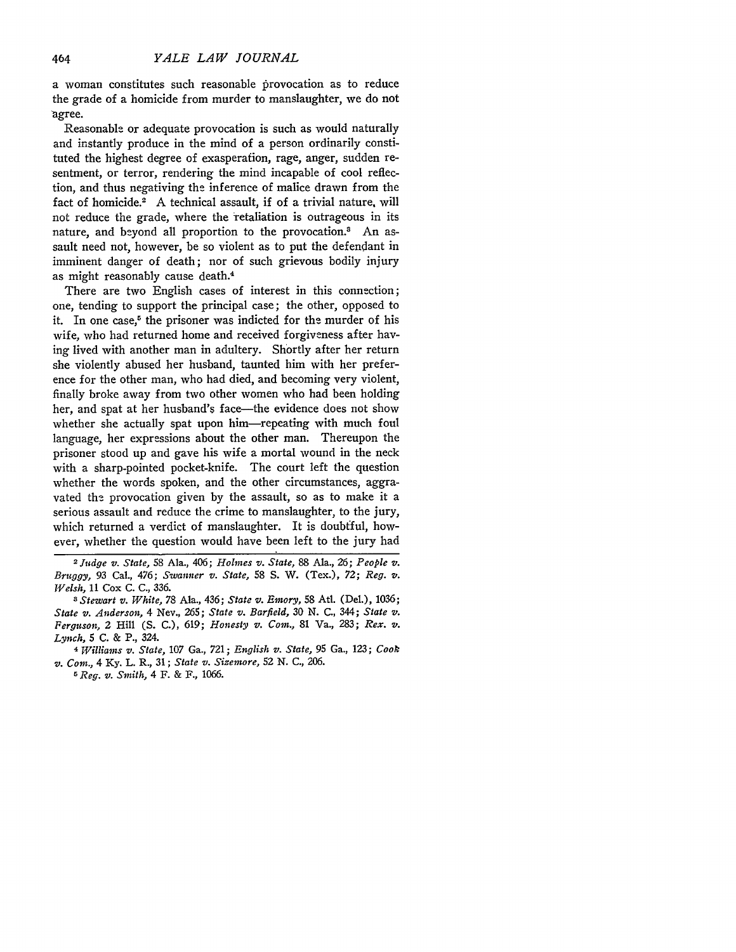a woman constitutes such reasonable provocation as to reduce the grade of a homicide from murder to manslaughter, we do not agree.

Reasonable or adequate provocation is such as would naturally and instantly produce in the mind of a person ordinarily constituted the highest degree of exasperation, rage, anger, sudden resentment, or terror, rendering the mind incapable of cool reflection, and thus negativing the inference of malice drawn from the fact of homicide.<sup>2</sup> A technical assault, if of a trivial nature, will not reduce the grade, where the 'retaliation is outrageous in its nature, and beyond all proportion to the provocation.3 An assault need not, however, be so violent as to put the defendant in imminent danger of death; nor of such grievous bodily injury as might reasonably cause death.4

There are two English cases of interest in this connection; one, tending to support the principal case; the other, opposed to it. In one case,<sup>5</sup> the prisoner was indicted for the murder of his wife, who had returned home and received forgiveness after having lived with another man in adultery. Shortly after her return she violently abused her husband, taunted him with her preference for the other man, who had died, and becoming very violent, finally broke away from two other women who had been holding her, and spat at her husband's face-the evidence does not show whether she actually spat upon him-repeating with much foul language, her expressions about the other man. Thereupon the prisoner stood up and gave his wife a mortal wound in the neck with a sharp-pointed pocket-knife. The court left the question whether the words spoken, and the other circumstances, aggravated the provocation given by the assault, so as to make it a serious assault and reduce the crime to manslaughter, to the jury, which returned a verdict of manslaughter. It is doubtful, however, whether the question would have been left to the jury had

*<sup>2</sup> bldge v. State,* 58 Ala., 406; *Holmes v. State,* 88 Ala., 26; *People v. Bruggy,* 93 Cal., 476; *Swaner v. State,* 58 S. W. (Tex.), *72; Reg. v. Welsh,* 11 Cox C. C., 336.

*<sup>3</sup> Stewart v. White,* 78 Ala., 436; *State v. Emory,* 58 Atl. (Del.), 1036; *State v. Anderson,* 4 Nev., 265; *State v. Barfield,* 30 N. C., 344; *State v. Ferguson,* 2 Hill (S. C.), 619; *Honesty v. Com.,* 81 Va., 283; *Rex. v. Lynch,* 5 C. & P., 324.

*<sup>4</sup> Williams v. State,* 107 Ga., 721; *English v. State,* 95 Ga., 123; *Cook v. Com.,* 4 Ky. L. R., 31; *State v. Sizemore,* 52 N. C., 206.

*<sup>5</sup>Reg. v. Smith,* 4 F. & F., 1066.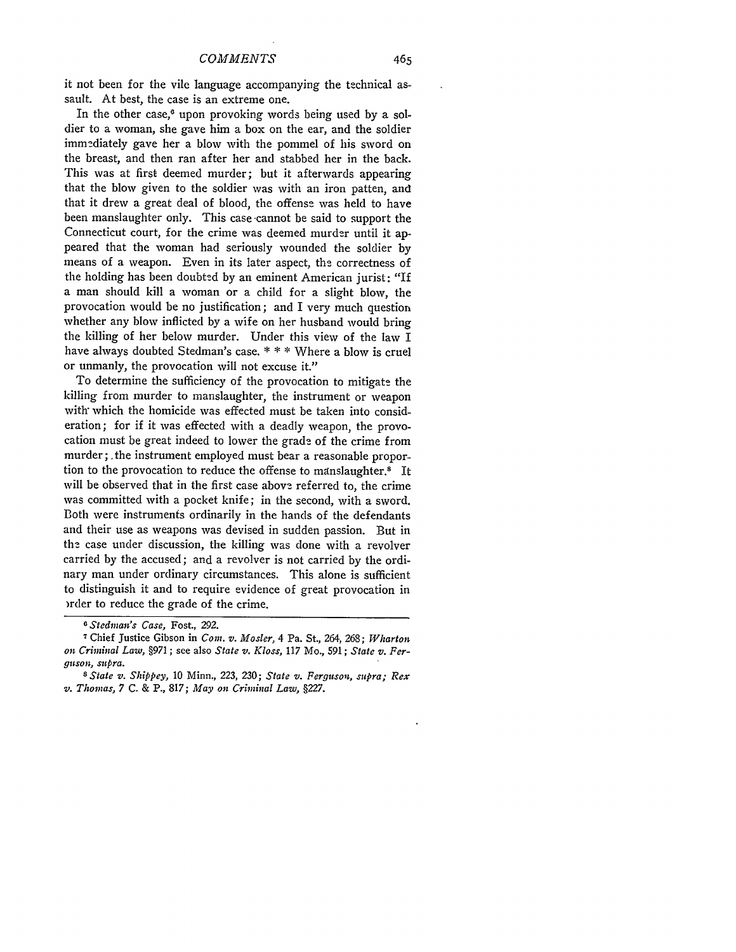it not been for the vile language accompanying the technical assault. At best, the case is an extreme one.

In the other case, $6$  upon provoking words being used by a soldier to a woman, she gave him a box on the ear, and the soldier immediately gave her a blow with the pommel of his sword on the breast, and then ran after her and stabbed her in the back. This was at first deemed murder; but it afterwards appearing that the blow given to the soldier was with an iron patten, and that it drew a great deal of blood, the offense was held to have been manslaughter only. This case cannot be said to support the Connecticut court, for the crime was deemed murder until it appeared that the woman had seriously wounded the soldier by means of a weapon. Even in its later aspect, the correctness of the holding has been doubted by an eminent American jurist: "If a man should kill a woman or a child for a slight blow, the provocation would be no justification; and I very much question whether any blow inflicted by a wife on her husband would bring the killing of her below murder. Under this view of the law I have always doubted Stedman's case. \* \* \* Where a blow is cruel or unmanly, the provocation will not excuse it."

To determine the sufficiency of the provocation to mitigate the killing from murder to manslaughter, the instrument or weapon with which the homicide was effected must be taken into consideration; for if it was effected with a deadly weapon, the provocation must be great indeed to lower the grade of the crime from murder; the instrument employed must bear a reasonable proportion to the provocation to reduce the offense to manslaughter.<sup>8</sup> It will be observed that in the first case above referred to, the crime was committed with a pocket knife; in the second, with a sword. Both were instruments ordinarily in the hands of the defendants and their use as weapons was devised in sudden passion. But in the case under discussion, the killing was done with a revolver carried by the accused; and a revolver is not carried by the ordinary man under ordinary circumstances. This alone is sufficient to distinguish it and to require evidence of great provocation in )rder to reduce the grade of the crime.

*<sup>6</sup> Stedman's Case,* Fost., *292.*

<sup>7</sup> Chief Justice Gibson in *Com. v. Mosler,* 4 Pa. St., 264, 268; *Wharton on Criminal Law,* §971; see also *State v. Kloss,* 117 Mo., 591; *State v. Ferguson, supra.*

*<sup>8</sup> State v. Shippey,* 10 Minn., 223, 230; *State v. Ferguson, supra; Rex v. Thomas, 7* C. & P., 817; *May on Crininal Law, §227.*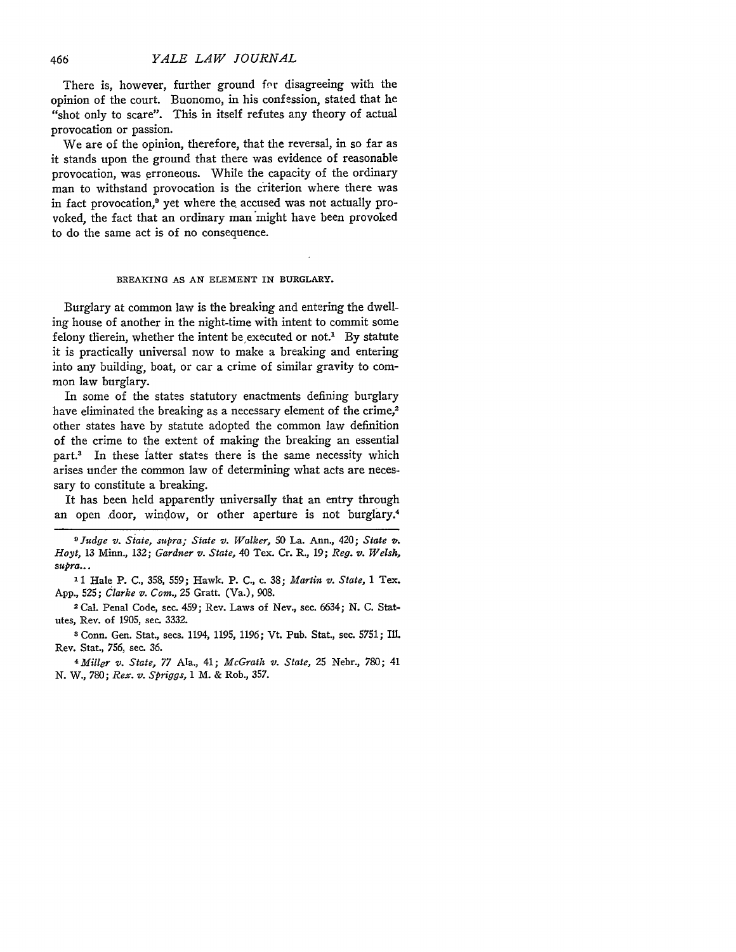There is, however, further ground for disagreeing with the opinion of the court. Buonomo, in his confession, stated that he "shot only to scare". This in itself refutes any theory of actual provocation or passion.

We are of the opinion, therefore, that the reversal, in so far as it stands upon the ground that there was evidence of reasonable provocation, was erroneous. While the capacity of the ordinary man to withstand provocation is the criterion where there was in fact provocation,<sup>9</sup> yet where the accused was not actually provoked, the fact that an ordinary man might have been provoked to do the same act is of no consequence.

#### BREAKING **AS AN ELEMENT** IN BURGLARY.

Burglary at common law is the breaking and entering the dwelling house of another in the night-time with intent to commit some felony therein, whether the intent be executed or not.<sup>1</sup> By statute it is practically universal now to make a breaking and entering into any building, boat, or car a crime of similar gravity to common law burglary.

In some of the states statutory enactments defining burglary have eliminated the breaking as a necessary element of the crime,<sup>2</sup> other states have by statute adopted the common law definition of the crime to the extent of making the breaking an essential part.<sup>3</sup> In these latter states there is the same necessity which arises under the common law of determining what acts are necessary to constitute a breaking.

It has been held apparently universally that an entry through an open door, window, or other aperture is not burglary.<sup>4</sup>

*DJudge v. State, supra; State v. Walker,* 50 La. Ann., 420; *State v. Hoyt,* 13 Minn., 132; *Gardner v. State,* 40 Tex. Cr. R., 19; *Reg. v. Welsh, supra...*

**<sup>&#</sup>x27;I** Hale P. C., 358, 559; Hawk. P. C., c. 38; *Martin v. State, 1* Tex. App., 525; *Clarke v. Com.,* 25 Gratt. (Va.), 908.

**<sup>2</sup>** Cal. Penal Code, sec. 459; Rev. Laws of Nev., sec. 6634; N. C. Statutes, Rev. of 1905, sec. 3332.

<sup>8</sup> Conn. Gen. Stat., secs. 1194, 1195, 1196; Vt. Pub. Stat., sec. 5751; Ill. Rev. Stat., 756, sec. 36.

*<sup>4</sup>Miller v. State,* 77 Ala., 41; *McGrath v. State,* 25 Nebr., 780; 41 *N.* W., 780; *Rex. v. Spriggs,* 1 M. & Rob., 357.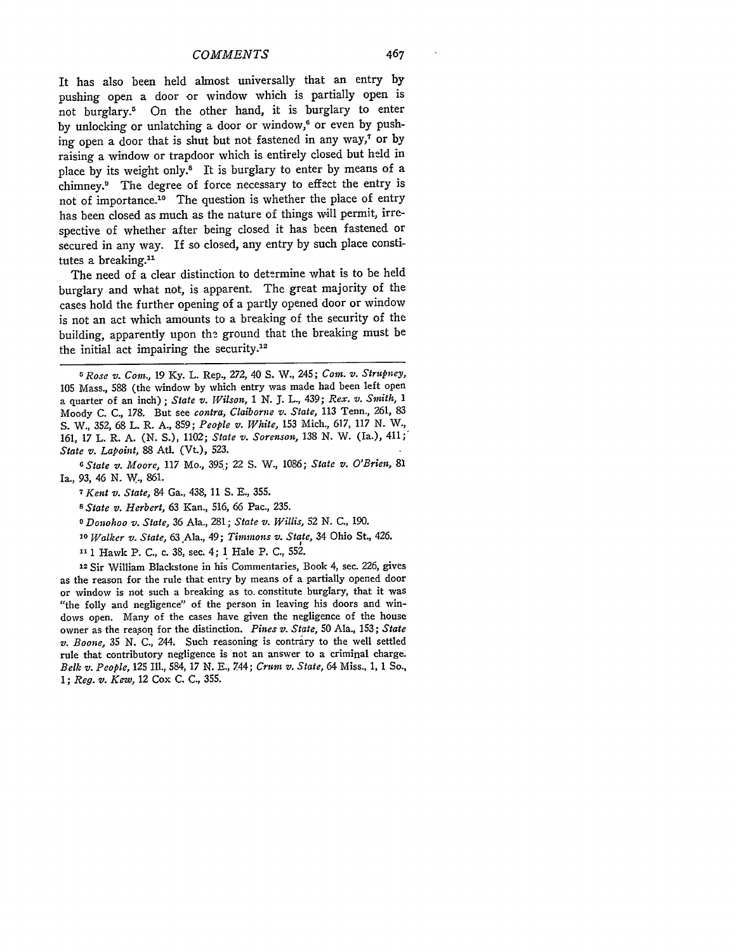*COMMENTS*

It has also been held almost universally that an entry **by** pushing open a door or window which is partially open is not burglary.5 On the other hand, it is burglary to enter by unlocking or unlatching a door or window,<sup>6</sup> or even by pushing open a door that is shut but not fastened in any way,7 or **by** raising a window or trapdoor which is entirely closed but held in place **by** its weight only." It is burglary to enter **by** means of a chimney.<sup>9</sup> The degree of force necessary to effect the entry is not of importance.10 The question is whether the place of entry has been closed as much as the nature of things will permit, irrespective of whether after being closed it has been fastened or secured in any way. If so closed, any entry **by** such place constitutes a breaking.<sup>11</sup>

The need of a clear distinction to determine what is to be held burglary and what not, is apparent. The great majority of the cases hold the further opening of a partly opened door or window is not an act which amounts to a breaking of the security of the building, apparently upon the ground that the breaking must be the initial act impairing the security.<sup>12</sup>

*0 State v. Moore,* 117 Mo., 395; *22* **S.** W., 1086; *State v. O'Brien, 81* Ia., 93, 46 N. *W.,* 861.

*7 Kent v. State,* 84 Ga., 438, 11 **S.** E., 355.

*8 State v. Herbert,* 63 Kan., 516, 66 Pac., 235.

*0 Donohoo v. State,* 36 Ala., 281; *State v. Willis,* 52 N. C., 190.

*<sup>10</sup>Walker v. State,* 63 .Ala., 49; *Timmons v. State,* 34 Ohio St., 426.

**<sup>11</sup>**1 Hawk P. C., c. 38, sec. 4; 1 Hale P. C., 552.

**<sup>12</sup>**Sir William Blackstone in his Commentaries, Book 4, sec. 226, gives as the reason for the rule that entry by means of a partially opened door or window is not such a breaking as to. constitute burglary, that it was "the folly and negligence" of the person in leaving his doors and windows open. Many of the cases have given the negligence of the house owner as the reason for the distinction. *Pines v. State,* 50 Ala., 153; *State v. Boone,* 35 N. C., 244. Such reasoning is contrary to the well settled rule that contributory negligence is not an answer to a criminal charge. *Belk v. People,* 125 Ill., 584, 17 **N.** E., 744; *Crum v. State,* 64 Miss., 1, 1 So., *1; Reg. v. Kew,* 12 Cox C. C., 355.

*<sup>5</sup> Rose v. Com.,* 19 **Ky.** L. Rep., 272, 40 **S.** W., 245; *Cont. v. Strupney,* 105 Mass., 588 (the window by which entry was made had been left open a quarter of an inch) ; *State v. Wilson,* 1 *N.* **J.** L., 439; *Rex. v. Smith, I* Moody C. C., 178. But see *contra, Claiborne v. State,* 113 Tenn., 261, 83 S. W., 352, 68 L. R. A., 859; *People v. White,* 153 Mich., 617, 117 N. W., 161, 17 L. R. A. (N. S.), 1102; *State v. Sorenson,* 138 N. W. (Ia.), 411;' *State v. Lapoint,* 88 Atl. (Vt.), 523.